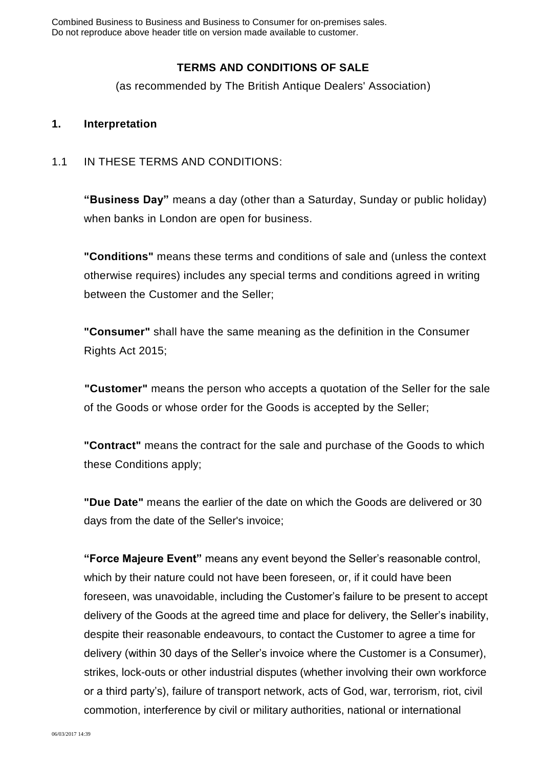Combined Business to Business and Business to Consumer for on-premises sales. Do not reproduce above header title on version made available to customer.

# **TERMS AND CONDITIONS OF SALE**

(as recommended by The British Antique Dealers' Association)

#### **1. Interpretation**

#### 1.1 IN THESE TERMS AND CONDITIONS:

**"Business Day"** means a day (other than a Saturday, Sunday or public holiday) when banks in London are open for business.

**"Conditions"** means these terms and conditions of sale and (unless the context otherwise requires) includes any special terms and conditions agreed in writing between the Customer and the Seller;

**"Consumer"** shall have the same meaning as the definition in the Consumer Rights Act 2015;

**"Customer"** means the person who accepts a quotation of the Seller for the sale of the Goods or whose order for the Goods is accepted by the Seller;

**"Contract"** means the contract for the sale and purchase of the Goods to which these Conditions apply;

**"Due Date"** means the earlier of the date on which the Goods are delivered or 30 days from the date of the Seller's invoice;

**"Force Majeure Event"** means any event beyond the Seller's reasonable control, which by their nature could not have been foreseen, or, if it could have been foreseen, was unavoidable, including the Customer's failure to be present to accept delivery of the Goods at the agreed time and place for delivery, the Seller's inability, despite their reasonable endeavours, to contact the Customer to agree a time for delivery (within 30 days of the Seller's invoice where the Customer is a Consumer), strikes, lock-outs or other industrial disputes (whether involving their own workforce or a third party's), failure of transport network, acts of God, war, terrorism, riot, civil commotion, interference by civil or military authorities, national or international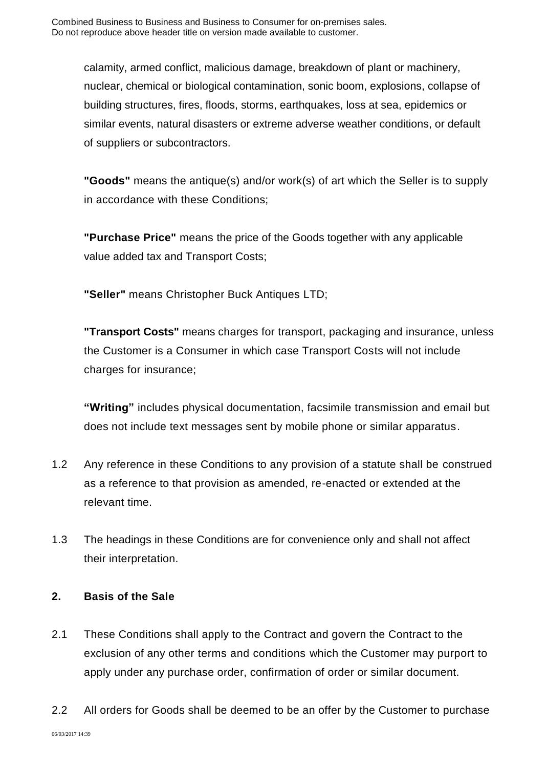calamity, armed conflict, malicious damage, breakdown of plant or machinery, nuclear, chemical or biological contamination, sonic boom, explosions, collapse of building structures, fires, floods, storms, earthquakes, loss at sea, epidemics or similar events, natural disasters or extreme adverse weather conditions, or default of suppliers or subcontractors.

**"Goods"** means the antique(s) and/or work(s) of art which the Seller is to supply in accordance with these Conditions;

**"Purchase Price"** means the price of the Goods together with any applicable value added tax and Transport Costs;

**"Seller"** means Christopher Buck Antiques LTD;

**"Transport Costs"** means charges for transport, packaging and insurance, unless the Customer is a Consumer in which case Transport Costs will not include charges for insurance;

**"Writing"** includes physical documentation, facsimile transmission and email but does not include text messages sent by mobile phone or similar apparatus.

- 1.2 Any reference in these Conditions to any provision of a statute shall be construed as a reference to that provision as amended, re-enacted or extended at the relevant time.
- 1.3 The headings in these Conditions are for convenience only and shall not affect their interpretation.

### **2. Basis of the Sale**

- 2.1 These Conditions shall apply to the Contract and govern the Contract to the exclusion of any other terms and conditions which the Customer may purport to apply under any purchase order, confirmation of order or similar document.
- 2.2 All orders for Goods shall be deemed to be an offer by the Customer to purchase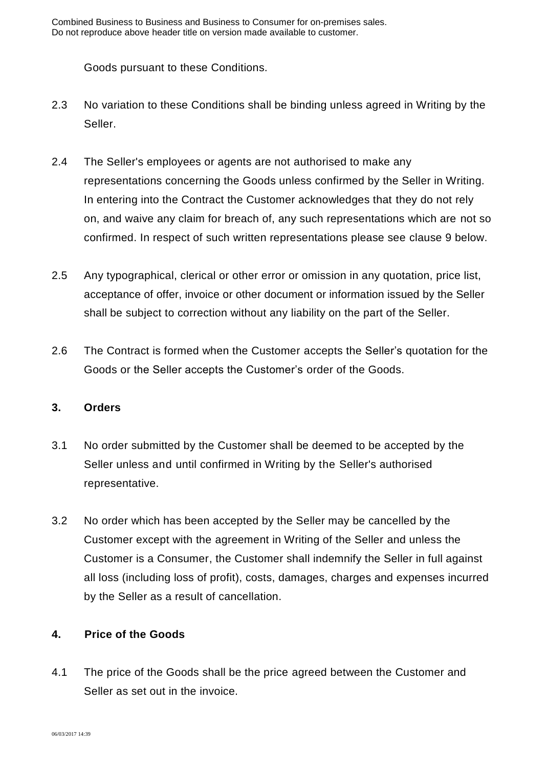Goods pursuant to these Conditions.

- 2.3 No variation to these Conditions shall be binding unless agreed in Writing by the Seller.
- 2.4 The Seller's employees or agents are not authorised to make any representations concerning the Goods unless confirmed by the Seller in Writing. In entering into the Contract the Customer acknowledges that they do not rely on, and waive any claim for breach of, any such representations which are not so confirmed. In respect of such written representations please see clause 9 below.
- 2.5 Any typographical, clerical or other error or omission in any quotation, price list, acceptance of offer, invoice or other document or information issued by the Seller shall be subject to correction without any liability on the part of the Seller.
- 2.6 The Contract is formed when the Customer accepts the Seller's quotation for the Goods or the Seller accepts the Customer's order of the Goods.

#### **3. Orders**

- 3.1 No order submitted by the Customer shall be deemed to be accepted by the Seller unless and until confirmed in Writing by the Seller's authorised representative.
- 3.2 No order which has been accepted by the Seller may be cancelled by the Customer except with the agreement in Writing of the Seller and unless the Customer is a Consumer, the Customer shall indemnify the Seller in full against all loss (including loss of profit), costs, damages, charges and expenses incurred by the Seller as a result of cancellation.

#### **4. Price of the Goods**

4.1 The price of the Goods shall be the price agreed between the Customer and Seller as set out in the invoice.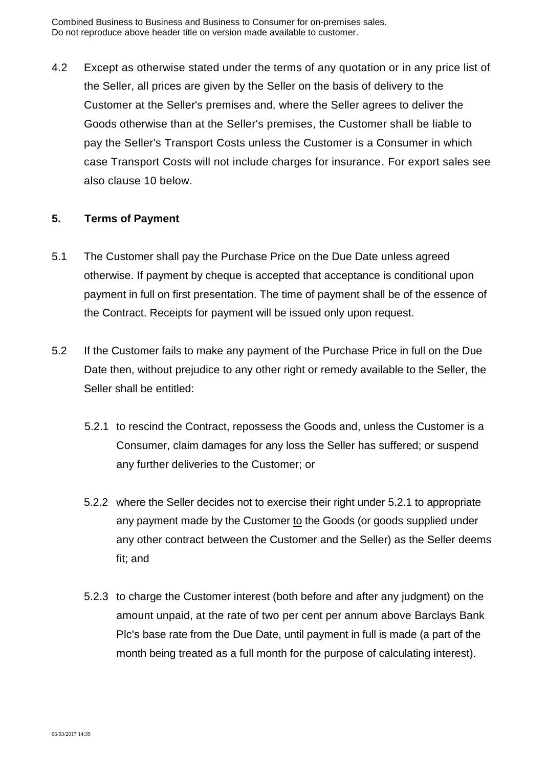4.2 Except as otherwise stated under the terms of any quotation or in any price list of the Seller, all prices are given by the Seller on the basis of delivery to the Customer at the Seller's premises and, where the Seller agrees to deliver the Goods otherwise than at the Seller's premises, the Customer shall be liable to pay the Seller's Transport Costs unless the Customer is a Consumer in which case Transport Costs will not include charges for insurance. For export sales see also clause 10 below.

#### **5. Terms of Payment**

- 5.1 The Customer shall pay the Purchase Price on the Due Date unless agreed otherwise. If payment by cheque is accepted that acceptance is conditional upon payment in full on first presentation. The time of payment shall be of the essence of the Contract. Receipts for payment will be issued only upon request.
- 5.2 If the Customer fails to make any payment of the Purchase Price in full on the Due Date then, without prejudice to any other right or remedy available to the Seller, the Seller shall be entitled:
	- 5.2.1 to rescind the Contract, repossess the Goods and, unless the Customer is a Consumer, claim damages for any loss the Seller has suffered; or suspend any further deliveries to the Customer; or
	- 5.2.2 where the Seller decides not to exercise their right under 5.2.1 to appropriate any payment made by the Customer to the Goods (or goods supplied under any other contract between the Customer and the Seller) as the Seller deems fit; and
	- 5.2.3 to charge the Customer interest (both before and after any judgment) on the amount unpaid, at the rate of two per cent per annum above Barclays Bank Plc's base rate from the Due Date, until payment in full is made (a part of the month being treated as a full month for the purpose of calculating interest).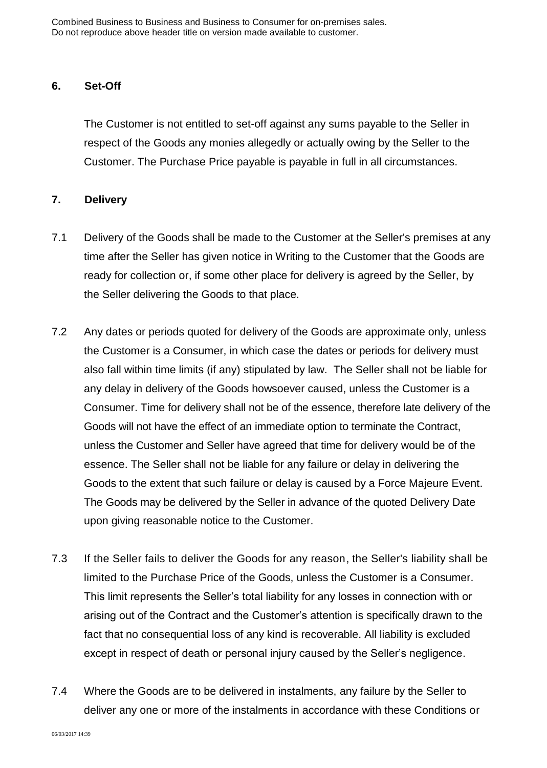#### **6. Set-Off**

The Customer is not entitled to set-off against any sums payable to the Seller in respect of the Goods any monies allegedly or actually owing by the Seller to the Customer. The Purchase Price payable is payable in full in all circumstances.

#### **7. Delivery**

- 7.1 Delivery of the Goods shall be made to the Customer at the Seller's premises at any time after the Seller has given notice in Writing to the Customer that the Goods are ready for collection or, if some other place for delivery is agreed by the Seller, by the Seller delivering the Goods to that place.
- 7.2 Any dates or periods quoted for delivery of the Goods are approximate only, unless the Customer is a Consumer, in which case the dates or periods for delivery must also fall within time limits (if any) stipulated by law. The Seller shall not be liable for any delay in delivery of the Goods howsoever caused, unless the Customer is a Consumer. Time for delivery shall not be of the essence, therefore late delivery of the Goods will not have the effect of an immediate option to terminate the Contract, unless the Customer and Seller have agreed that time for delivery would be of the essence. The Seller shall not be liable for any failure or delay in delivering the Goods to the extent that such failure or delay is caused by a Force Majeure Event. The Goods may be delivered by the Seller in advance of the quoted Delivery Date upon giving reasonable notice to the Customer.
- 7.3 If the Seller fails to deliver the Goods for any reason, the Seller's liability shall be limited to the Purchase Price of the Goods, unless the Customer is a Consumer. This limit represents the Seller's total liability for any losses in connection with or arising out of the Contract and the Customer's attention is specifically drawn to the fact that no consequential loss of any kind is recoverable. All liability is excluded except in respect of death or personal injury caused by the Seller's negligence.
- 7.4 Where the Goods are to be delivered in instalments, any failure by the Seller to deliver any one or more of the instalments in accordance with these Conditions or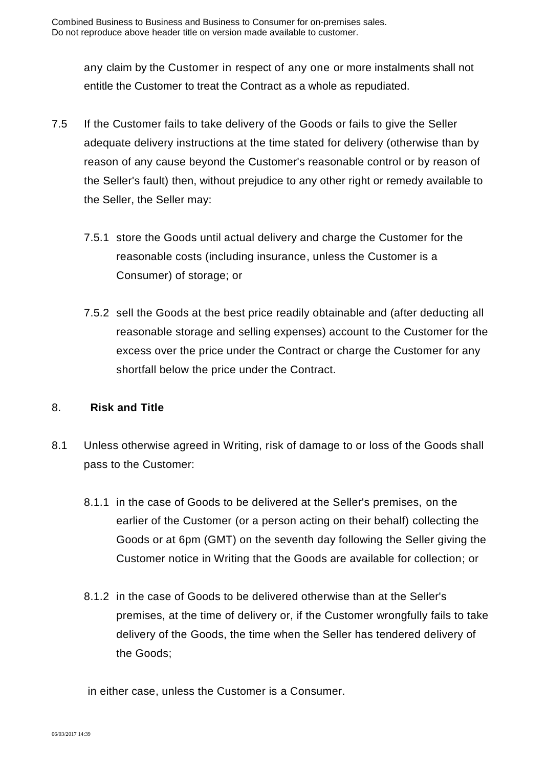any claim by the Customer in respect of any one or more instalments shall not entitle the Customer to treat the Contract as a whole as repudiated.

- 7.5 If the Customer fails to take delivery of the Goods or fails to give the Seller adequate delivery instructions at the time stated for delivery (otherwise than by reason of any cause beyond the Customer's reasonable control or by reason of the Seller's fault) then, without prejudice to any other right or remedy available to the Seller, the Seller may:
	- 7.5.1 store the Goods until actual delivery and charge the Customer for the reasonable costs (including insurance, unless the Customer is a Consumer) of storage; or
	- 7.5.2 sell the Goods at the best price readily obtainable and (after deducting all reasonable storage and selling expenses) account to the Customer for the excess over the price under the Contract or charge the Customer for any shortfall below the price under the Contract.

#### 8. **Risk and Title**

- 8.1 Unless otherwise agreed in Writing, risk of damage to or loss of the Goods shall pass to the Customer:
	- 8.1.1 in the case of Goods to be delivered at the Seller's premises, on the earlier of the Customer (or a person acting on their behalf) collecting the Goods or at 6pm (GMT) on the seventh day following the Seller giving the Customer notice in Writing that the Goods are available for collection; or
	- 8.1.2 in the case of Goods to be delivered otherwise than at the Seller's premises, at the time of delivery or, if the Customer wrongfully fails to take delivery of the Goods, the time when the Seller has tendered delivery of the Goods;

in either case, unless the Customer is a Consumer.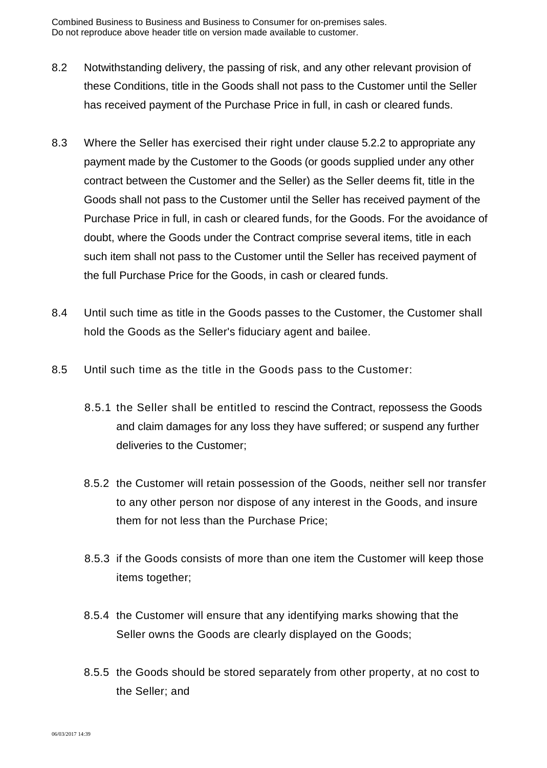- 8.2 Notwithstanding delivery, the passing of risk, and any other relevant provision of these Conditions, title in the Goods shall not pass to the Customer until the Seller has received payment of the Purchase Price in full, in cash or cleared funds.
- 8.3 Where the Seller has exercised their right under clause 5.2.2 to appropriate any payment made by the Customer to the Goods (or goods supplied under any other contract between the Customer and the Seller) as the Seller deems fit, title in the Goods shall not pass to the Customer until the Seller has received payment of the Purchase Price in full, in cash or cleared funds, for the Goods. For the avoidance of doubt, where the Goods under the Contract comprise several items, title in each such item shall not pass to the Customer until the Seller has received payment of the full Purchase Price for the Goods, in cash or cleared funds.
- 8.4 Until such time as title in the Goods passes to the Customer, the Customer shall hold the Goods as the Seller's fiduciary agent and bailee.
- 8.5 Until such time as the title in the Goods pass to the Customer:
	- 8.5.1 the Seller shall be entitled to rescind the Contract, repossess the Goods and claim damages for any loss they have suffered; or suspend any further deliveries to the Customer;
	- 8.5.2 the Customer will retain possession of the Goods, neither sell nor transfer to any other person nor dispose of any interest in the Goods, and insure them for not less than the Purchase Price;
	- 8.5.3 if the Goods consists of more than one item the Customer will keep those items together;
	- 8.5.4 the Customer will ensure that any identifying marks showing that the Seller owns the Goods are clearly displayed on the Goods;
	- 8.5.5 the Goods should be stored separately from other property, at no cost to the Seller; and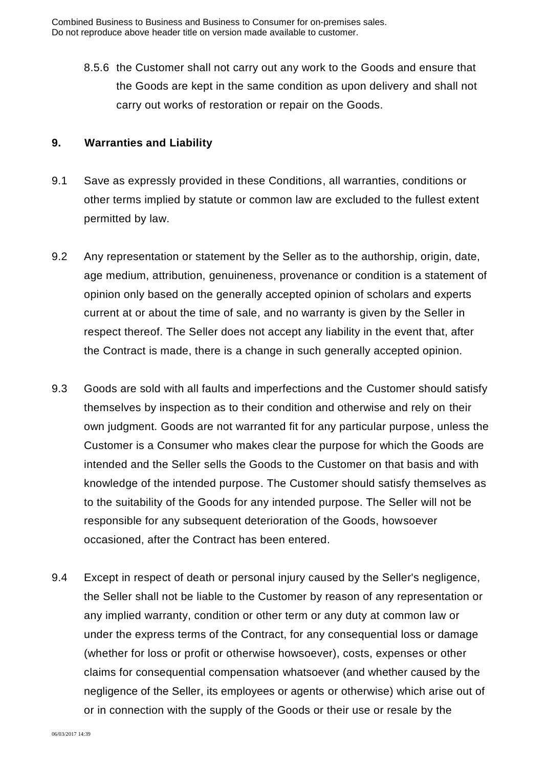8.5.6 the Customer shall not carry out any work to the Goods and ensure that the Goods are kept in the same condition as upon delivery and shall not carry out works of restoration or repair on the Goods.

#### **9. Warranties and Liability**

- 9.1 Save as expressly provided in these Conditions, all warranties, conditions or other terms implied by statute or common law are excluded to the fullest extent permitted by law.
- 9.2 Any representation or statement by the Seller as to the authorship, origin, date, age medium, attribution, genuineness, provenance or condition is a statement of opinion only based on the generally accepted opinion of scholars and experts current at or about the time of sale, and no warranty is given by the Seller in respect thereof. The Seller does not accept any liability in the event that, after the Contract is made, there is a change in such generally accepted opinion.
- 9.3 Goods are sold with all faults and imperfections and the Customer should satisfy themselves by inspection as to their condition and otherwise and rely on their own judgment. Goods are not warranted fit for any particular purpose, unless the Customer is a Consumer who makes clear the purpose for which the Goods are intended and the Seller sells the Goods to the Customer on that basis and with knowledge of the intended purpose. The Customer should satisfy themselves as to the suitability of the Goods for any intended purpose. The Seller will not be responsible for any subsequent deterioration of the Goods, howsoever occasioned, after the Contract has been entered.
- 9.4 Except in respect of death or personal injury caused by the Seller's negligence, the Seller shall not be liable to the Customer by reason of any representation or any implied warranty, condition or other term or any duty at common law or under the express terms of the Contract, for any consequential loss or damage (whether for loss or profit or otherwise howsoever), costs, expenses or other claims for consequential compensation whatsoever (and whether caused by the negligence of the Seller, its employees or agents or otherwise) which arise out of or in connection with the supply of the Goods or their use or resale by the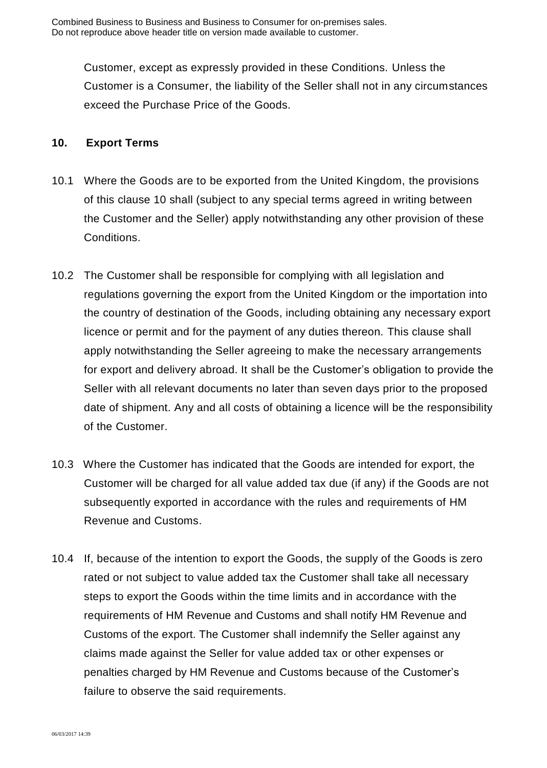Customer, except as expressly provided in these Conditions. Unless the Customer is a Consumer, the liability of the Seller shall not in any circumstances exceed the Purchase Price of the Goods.

## **10. Export Terms**

- 10.1 Where the Goods are to be exported from the United Kingdom, the provisions of this clause 10 shall (subject to any special terms agreed in writing between the Customer and the Seller) apply notwithstanding any other provision of these Conditions.
- 10.2 The Customer shall be responsible for complying with all legislation and regulations governing the export from the United Kingdom or the importation into the country of destination of the Goods, including obtaining any necessary export licence or permit and for the payment of any duties thereon. This clause shall apply notwithstanding the Seller agreeing to make the necessary arrangements for export and delivery abroad. It shall be the Customer's obligation to provide the Seller with all relevant documents no later than seven days prior to the proposed date of shipment. Any and all costs of obtaining a licence will be the responsibility of the Customer.
- 10.3 Where the Customer has indicated that the Goods are intended for export, the Customer will be charged for all value added tax due (if any) if the Goods are not subsequently exported in accordance with the rules and requirements of HM Revenue and Customs.
- 10.4 If, because of the intention to export the Goods, the supply of the Goods is zero rated or not subject to value added tax the Customer shall take all necessary steps to export the Goods within the time limits and in accordance with the requirements of HM Revenue and Customs and shall notify HM Revenue and Customs of the export. The Customer shall indemnify the Seller against any claims made against the Seller for value added tax or other expenses or penalties charged by HM Revenue and Customs because of the Customer's failure to observe the said requirements.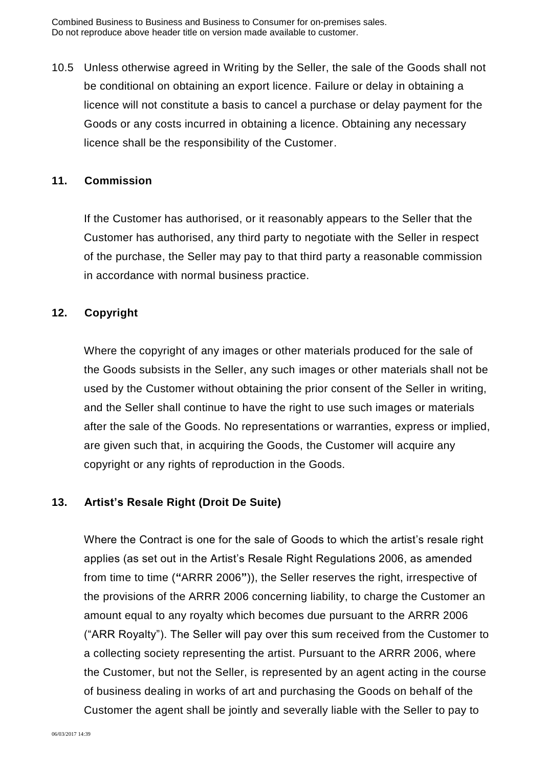10.5 Unless otherwise agreed in Writing by the Seller, the sale of the Goods shall not be conditional on obtaining an export licence. Failure or delay in obtaining a licence will not constitute a basis to cancel a purchase or delay payment for the Goods or any costs incurred in obtaining a licence. Obtaining any necessary licence shall be the responsibility of the Customer.

#### **11. Commission**

If the Customer has authorised, or it reasonably appears to the Seller that the Customer has authorised, any third party to negotiate with the Seller in respect of the purchase, the Seller may pay to that third party a reasonable commission in accordance with normal business practice.

#### **12. Copyright**

Where the copyright of any images or other materials produced for the sale of the Goods subsists in the Seller, any such images or other materials shall not be used by the Customer without obtaining the prior consent of the Seller in writing, and the Seller shall continue to have the right to use such images or materials after the sale of the Goods. No representations or warranties, express or implied, are given such that, in acquiring the Goods, the Customer will acquire any copyright or any rights of reproduction in the Goods.

#### **13. Artist's Resale Right (Droit De Suite)**

Where the Contract is one for the sale of Goods to which the artist's resale right applies (as set out in the Artist's Resale Right Regulations 2006, as amended from time to time (**"**ARRR 2006**"**)), the Seller reserves the right, irrespective of the provisions of the ARRR 2006 concerning liability, to charge the Customer an amount equal to any royalty which becomes due pursuant to the ARRR 2006 ("ARR Royalty"). The Seller will pay over this sum received from the Customer to a collecting society representing the artist. Pursuant to the ARRR 2006, where the Customer, but not the Seller, is represented by an agent acting in the course of business dealing in works of art and purchasing the Goods on behalf of the Customer the agent shall be jointly and severally liable with the Seller to pay to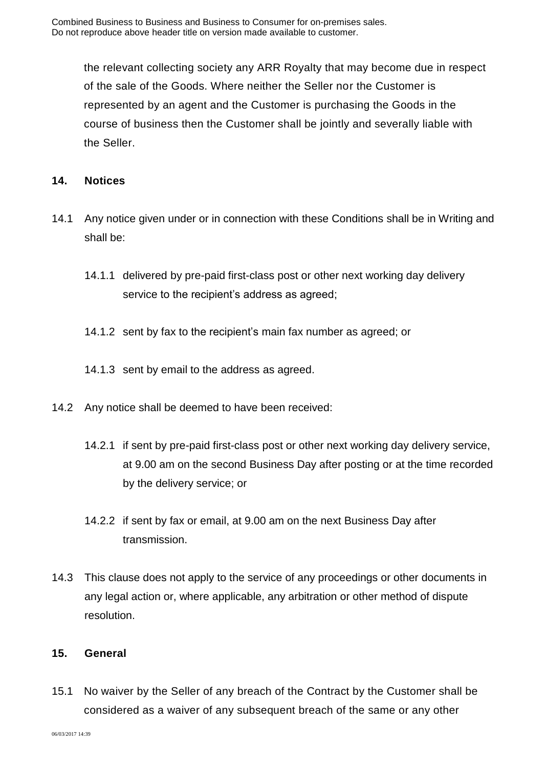the relevant collecting society any ARR Royalty that may become due in respect of the sale of the Goods. Where neither the Seller nor the Customer is represented by an agent and the Customer is purchasing the Goods in the course of business then the Customer shall be jointly and severally liable with the Seller.

### **14. Notices**

- 14.1 Any notice given under or in connection with these Conditions shall be in Writing and shall be:
	- 14.1.1 delivered by pre-paid first-class post or other next working day delivery service to the recipient's address as agreed;
	- 14.1.2 sent by fax to the recipient's main fax number as agreed; or
	- 14.1.3 sent by email to the address as agreed.
- 14.2 Any notice shall be deemed to have been received:
	- 14.2.1 if sent by pre-paid first-class post or other next working day delivery service, at 9.00 am on the second Business Day after posting or at the time recorded by the delivery service; or
	- 14.2.2 if sent by fax or email, at 9.00 am on the next Business Day after transmission.
- 14.3 This clause does not apply to the service of any proceedings or other documents in any legal action or, where applicable, any arbitration or other method of dispute resolution.

#### **15. General**

15.1 No waiver by the Seller of any breach of the Contract by the Customer shall be considered as a waiver of any subsequent breach of the same or any other